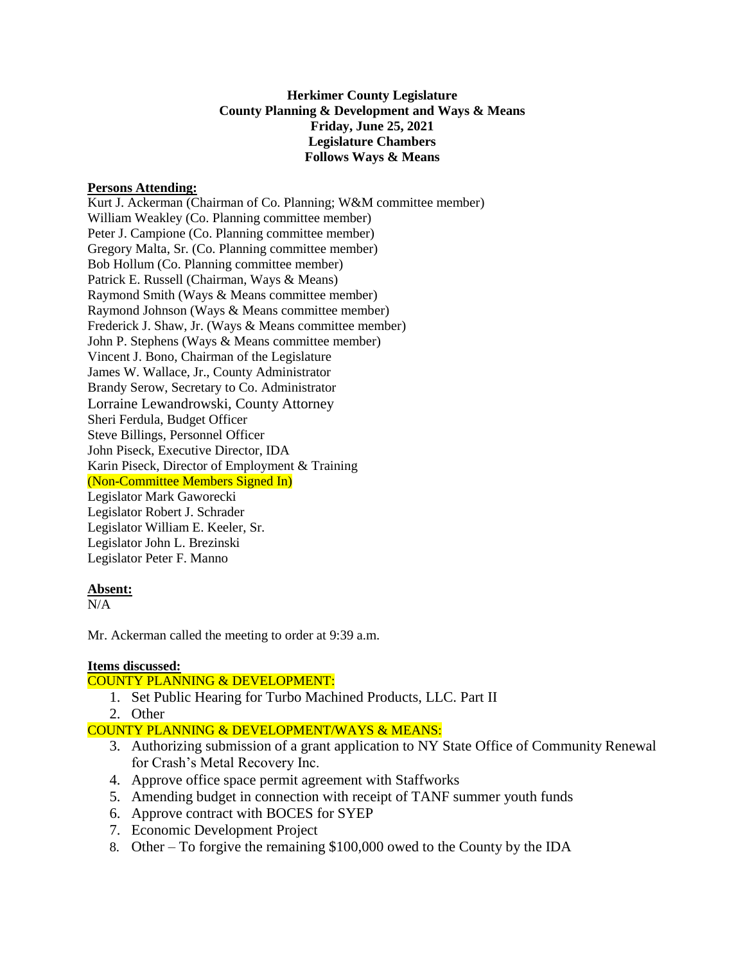**Herkimer County Legislature County Planning & Development and Ways & Means Friday, June 25, 2021 Legislature Chambers Follows Ways & Means**

### **Persons Attending:**

Kurt J. Ackerman (Chairman of Co. Planning; W&M committee member) William Weakley (Co. Planning committee member) Peter J. Campione (Co. Planning committee member) Gregory Malta, Sr. (Co. Planning committee member) Bob Hollum (Co. Planning committee member) Patrick E. Russell (Chairman, Ways & Means) Raymond Smith (Ways & Means committee member) Raymond Johnson (Ways & Means committee member) Frederick J. Shaw, Jr. (Ways & Means committee member) John P. Stephens (Ways & Means committee member) Vincent J. Bono, Chairman of the Legislature James W. Wallace, Jr., County Administrator Brandy Serow, Secretary to Co. Administrator Lorraine Lewandrowski, County Attorney Sheri Ferdula, Budget Officer Steve Billings, Personnel Officer John Piseck, Executive Director, IDA Karin Piseck, Director of Employment & Training (Non-Committee Members Signed In) Legislator Mark Gaworecki Legislator Robert J. Schrader Legislator William E. Keeler, Sr. Legislator John L. Brezinski Legislator Peter F. Manno

#### **Absent:**

 $N/A$ 

Mr. Ackerman called the meeting to order at 9:39 a.m.

## **Items discussed:**

## COUNTY PLANNING & DEVELOPMENT:

- 1. Set Public Hearing for Turbo Machined Products, LLC. Part II
- 2. Other

# COUNTY PLANNING & DEVELOPMENT/WAYS & MEANS:

- 3. Authorizing submission of a grant application to NY State Office of Community Renewal for Crash's Metal Recovery Inc.
- 4. Approve office space permit agreement with Staffworks
- 5. Amending budget in connection with receipt of TANF summer youth funds
- 6. Approve contract with BOCES for SYEP
- 7. Economic Development Project
- 8. Other To forgive the remaining \$100,000 owed to the County by the IDA